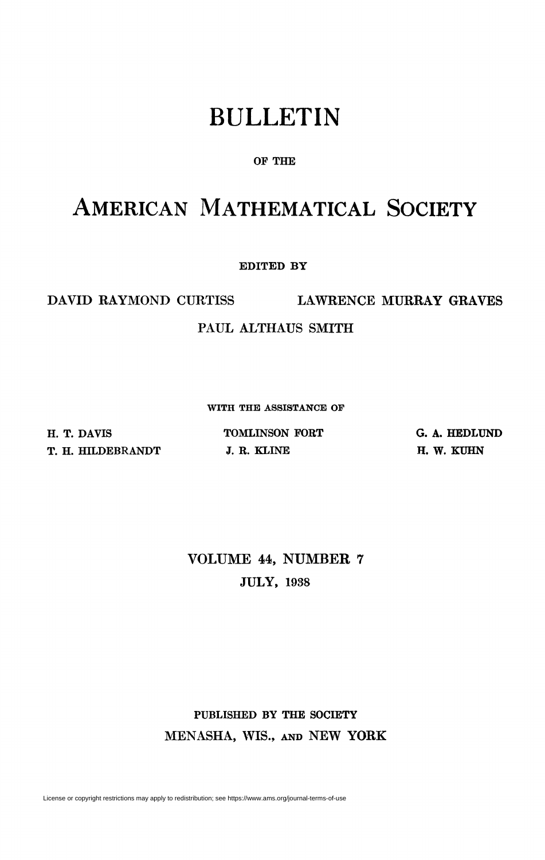## BULLETIN

## **OP THE**

## AMERICAN MATHEMATICAL SOCIETY

**EDITED BY** 

DAVID RAYMOND CURTISS LAWRENCE MURRAY GRAVES

PAUL ALTHAUS SMITH

**WITH THE ASSISTANCE OF** 

**H. T. DAVIS TOMLINSON FORT G. A. HEDLUND T. H. HILDEBRANDT J. R. KLINE H. W. KUHN** 

VOLUME 44, NUMBER 7 JULY, 1938

**PUBLISHED BY THE SOCIETY**  MENASHA, WIS., AND NEW YORK